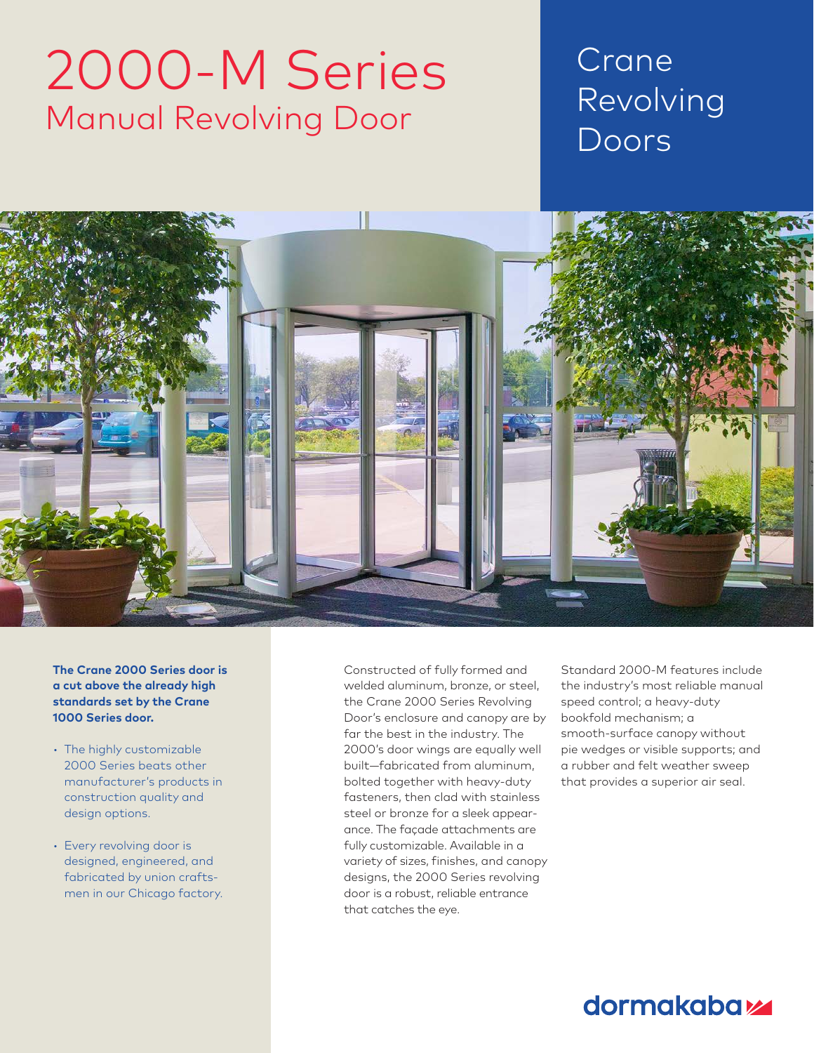# 2000-M Series Manual Revolving Door

## Crane Revolving Doors

Chapter Title Section Title



**The Crane 2000 Series door is a cut above the already high standards set by the Crane 1000 Series door.**

- The highly customizable 2000 Series beats other manufacturer's products in construction quality and design options.
- Every revolving door is designed, engineered, and fabricated by union craftsmen in our Chicago factory.

Constructed of fully formed and welded aluminum, bronze, or steel, the Crane 2000 Series Revolving Door's enclosure and canopy are by far the best in the industry. The 2000's door wings are equally well built—fabricated from aluminum, bolted together with heavy-duty fasteners, then clad with stainless steel or bronze for a sleek appearance. The façade attachments are fully customizable. Available in a variety of sizes, finishes, and canopy designs, the 2000 Series revolving door is a robust, reliable entrance that catches the eye.

Standard 2000-M features include the industry's most reliable manual speed control; a heavy-duty bookfold mechanism; a smooth-surface canopy without pie wedges or visible supports; and a rubber and felt weather sweep that provides a superior air seal.

### dormakaba<sub>k</sub>